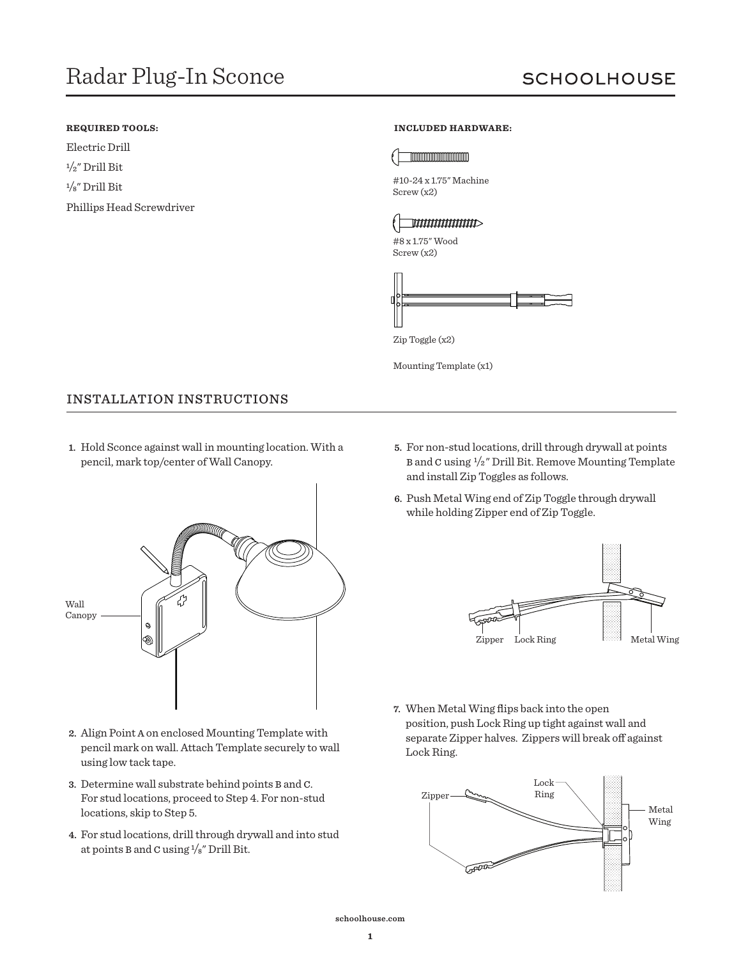### **REQUIRED TOOLS:**

Electric Drill  $1/2$ " Drill Bit <sup>1</sup>/8" Drill Bit Phillips Head Screwdriver

#### **INCLUDED HARDWARE:**



#10-24 x 1.75" Machine Screw (x2)

# $\overline{\phantom{a}}$  woundards  $\overline{\phantom{a}}$

#8 x 1.75" Wood Screw (x2)



Mounting Template (x1)

## INSTALLATION INSTRUCTIONS

**1.** Hold Sconce against wall in mounting location. With a pencil, mark top/center of Wall Canopy.



- **2.** Align Point A on enclosed Mounting Template with pencil mark on wall. Attach Template securely to wall using low tack tape.
- **3.** Determine wall substrate behind points B and C. For stud locations, proceed to Step 4. For non-stud locations, skip to Step 5.
- **4.** For stud locations, drill through drywall and into stud at points B and C using 1/8" Drill Bit.
- **5.** For non-stud locations, drill through drywall at points B and C using 1/2" Drill Bit. Remove Mounting Template and install Zip Toggles as follows.
- **6.** Push Metal Wing end of Zip Toggle through drywall while holding Zipper end of Zip Toggle.



**7.** When Metal Wing flips back into the open position, push Lock Ring up tight against wall and separate Zipper halves. Zippers will break off against Lock Ring.

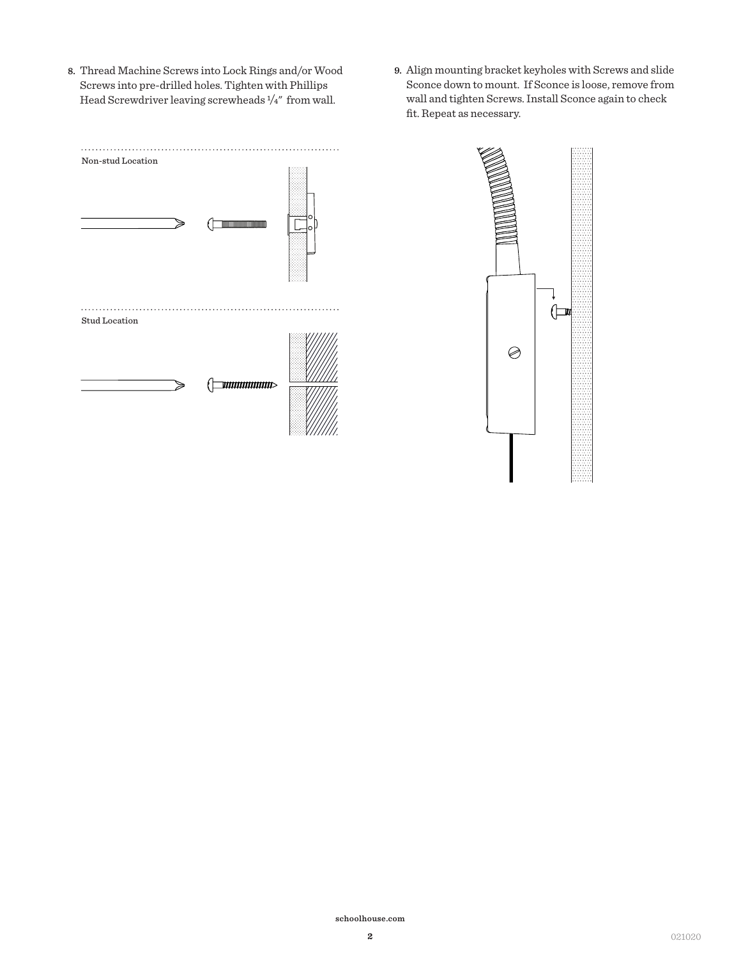- **8.** Thread Machine Screws into Lock Rings and/or Wood Screws into pre-drilled holes. Tighten with Phillips Head Screwdriver leaving screwheads 1/4" from wall.
- **9.** Align mounting bracket keyholes with Screws and slide Sconce down to mount. If Sconce is loose, remove from wall and tighten Screws. Install Sconce again to check fit. Repeat as necessary.